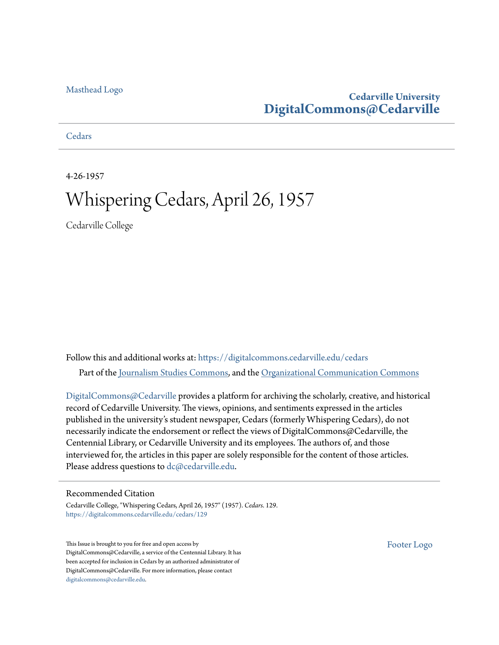## [Masthead Logo](http://www.cedarville.edu/?utm_source=digitalcommons.cedarville.edu%2Fcedars%2F129&utm_medium=PDF&utm_campaign=PDFCoverPages)

## **Cedarville University [DigitalCommons@Cedarville](https://digitalcommons.cedarville.edu?utm_source=digitalcommons.cedarville.edu%2Fcedars%2F129&utm_medium=PDF&utm_campaign=PDFCoverPages)**

**[Cedars](https://digitalcommons.cedarville.edu/cedars?utm_source=digitalcommons.cedarville.edu%2Fcedars%2F129&utm_medium=PDF&utm_campaign=PDFCoverPages)** 

4-26-1957

## Whispering Cedars, April 26, 1957

Cedarville College

Follow this and additional works at: [https://digitalcommons.cedarville.edu/cedars](https://digitalcommons.cedarville.edu/cedars?utm_source=digitalcommons.cedarville.edu%2Fcedars%2F129&utm_medium=PDF&utm_campaign=PDFCoverPages) Part of the [Journalism Studies Commons](http://network.bepress.com/hgg/discipline/333?utm_source=digitalcommons.cedarville.edu%2Fcedars%2F129&utm_medium=PDF&utm_campaign=PDFCoverPages), and the [Organizational Communication Commons](http://network.bepress.com/hgg/discipline/335?utm_source=digitalcommons.cedarville.edu%2Fcedars%2F129&utm_medium=PDF&utm_campaign=PDFCoverPages)

[DigitalCommons@Cedarville](http://digitalcommons.cedarville.edu/) provides a platform for archiving the scholarly, creative, and historical record of Cedarville University. The views, opinions, and sentiments expressed in the articles published in the university's student newspaper, Cedars (formerly Whispering Cedars), do not necessarily indicate the endorsement or reflect the views of DigitalCommons@Cedarville, the Centennial Library, or Cedarville University and its employees. The authors of, and those interviewed for, the articles in this paper are solely responsible for the content of those articles. Please address questions to [dc@cedarville.edu.](mailto:dc@cedarville.edu)

## Recommended Citation

Cedarville College, "Whispering Cedars, April 26, 1957" (1957). *Cedars*. 129. [https://digitalcommons.cedarville.edu/cedars/129](https://digitalcommons.cedarville.edu/cedars/129?utm_source=digitalcommons.cedarville.edu%2Fcedars%2F129&utm_medium=PDF&utm_campaign=PDFCoverPages)

This Issue is brought to you for free and open access by DigitalCommons@Cedarville, a service of the Centennial Library. It has been accepted for inclusion in Cedars by an authorized administrator of DigitalCommons@Cedarville. For more information, please contact [digitalcommons@cedarville.edu](mailto:digitalcommons@cedarville.edu).

[Footer Logo](http://www.cedarville.edu/Academics/Library.aspx?utm_source=digitalcommons.cedarville.edu%2Fcedars%2F129&utm_medium=PDF&utm_campaign=PDFCoverPages)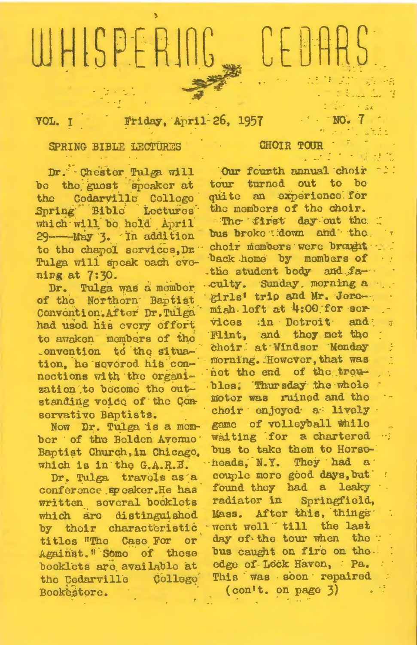# WHISPERIN N.

Friday, April 26, 1957 VOL. I

## SPRING BIBLE LECTURES

Dr. Chester Tulga will be the guest speaker at the Cedarville College Spring Bible Loctures which will be held April 29-May 3. In addition to the chapel services. Dr. Tulga will speak each evening at 7:30.

Dr. Tulga was a momber of the Northorn Baptist Convention. After Dr. Tulga had used his every effort to awaken members of the .onvention to the situation, he severed his connections with the organization to become the outstanding voice of the Conservative Baptists.

Now Dr. Tulga is a momber of the Bolden Avenue Baptist Church, in Chicago, which is in the G.A.R.B.

Dr. Tulga travels as a conference speaker. He has written several booklets which are distinguished by their characteristic titles "The Case For or Against. "Some of these booklets are available at the Cedarville College Bookestore.

### **CHOIR TOUR**

Our fourth annual choir tour turned out to be quite an experience for the members of the choir. The first day out the bus broke down and the choir members were brought back home by mombers of the student body and faculty. Sunday, morning a girls' trip and Mr. Jeremish loft at 4:00 for ser vices :in Detroit and Flint, and they met the choir at Windsor Monday morning. However, that was not the end of the treubles: Thursday the whole motor was ruined and the choir enjoyed a lively game of volleyball while waiting for a chartered ... bus to take them to Horsoheads, N.Y. They had a couple more good days, but found they had a leaky .. radiator in Springfield, Mass. After this, things went well "till the last day of the tour when the : bus caught on fire on the. edge of Lock Haven, Pa. This was soon repaired  $(con't.$  on page  $3)$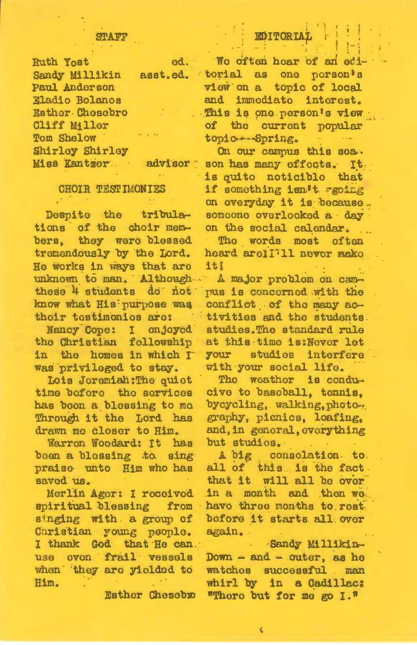#### STI A TITH

| <b>Ruth Yost</b>  | od.      |
|-------------------|----------|
| Sandy Millikin    | asst.ed. |
| Paul Anderson     |          |
| Eladio Bolanos    |          |
| Esther Chesebro   |          |
| Cliff Miller      |          |
| <b>Tom Shelow</b> | ALC VITE |
| Shirley Shirley   |          |
| Miss Kantzer.     | advisor  |
|                   |          |

## **CHOIR TESTIMONIES**

Despite the tribulations of the choir members, they were blessed tremendously by the Lord. He works in ways that are unknown to man. Although. these 4 students do not know what His purpose was their testimonies are:

Nancy Cope: I enjoyed the Christian fellowship in the homes in which I was privileged to stay.

Lois Joremiah: The quiet time before the services has boen a blessing to mo Through it the Lord has drawn me closer to Him.

Warron Woodard: It has been a blessing to sing praise unto Him who has saved us.

Merlin Ager: I received spiritual blessing from singing with a group of Caristian young people. I thank God that He can. use oven frail vessels when they are yielded to Him.

**Esther Chesebro** 

**EDITORIAI** 

We often hear of an edi torial as one person's view on a topic of local and immediate interest. This is one person's view of the current popular topic -- Spring.

On our campus this sea. son has many effects. It. is guite noticible that if something isn't agoing on overyday it is because. someone overlooked a day on the social calendar.

k. The words most often heard arell<sup>711</sup> never make it!

A major problom on campus is concerned with the conflict of the many activities and the students. studies. The standard rule at this time is: Never let studies interfere **YOUT** with your social life.

The weather is conducive to baseball, tennis, bycycling, walking, photography, picnics, loafing, and, in general, everything but studies.

A big consolation. to. all of this. is the fact that it will all be over in a month and then we have three months to rest. before it starts all over again.

Sandy Millikin- $Down - and - outer$ , as he watches successful . man whirl by in a Cadillac: "There but for me go I."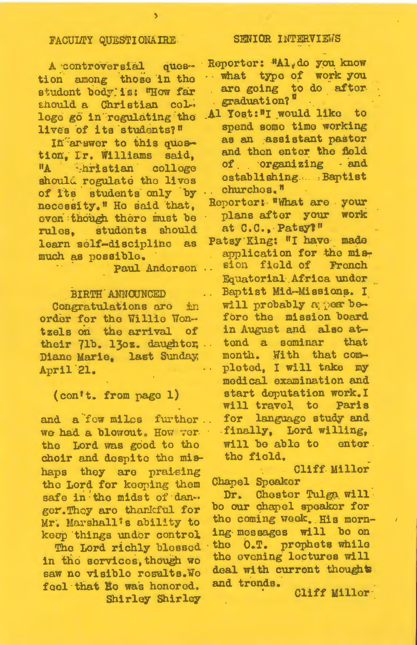## FACULTY QUESTIONAIRE.

A controversial guestion among those in the student body is: "How far should a Christian college go in regulating the lives of its students?"

In arswer to this question, Ir. Williams said, hristian colloge  $\mathbf{H}$ should regulate the lives of its students only by necessity." He said that, even though there must be rules, students should learn self-discipline as much as possible.

Paul Anderson

#### BIRTH ANNOUNCED

Congratulations are in order for the Willie Wontzels on the arrival  $of$ their 71b. 13oz. daughter, .. Diane Marie, last Sunday, April 21.

## (con't. from page 1)

and a fow miles further.. We had a blowout. How ver the Lord was good to the choir and despite the mishaps they are praising the Lord for keeping them safe in the midst of danger. They are thankful for Mr. Marshall's ability to keup things under control

The Lord richly blessed in the services, though we saw no visiblo results. Wo feel that He was honored. Shirley Shirley

#### SENIOR INTERVIEWS

Reporter: "Al.do you know what type of work you are going to do after graduation?<sup>8</sup>

- Al Yost:"I would like to spend some time working as an assistant pastor and then enter the field of organizing and ostablishing.... Baptist churchos.<sup>"</sup>
- Reporter: "What are your plans after your work at C.C., Patsyl"
- Patsy King: "I have made application for the mission field of French Equatorial Africa under Baptist Mid-Missions. I will probably a per before the mission board in August and also attond a sominar that month. With that completed, I will take my medical examination and start deputation work. I Paris will travel to languago study and for finally, Lord willing, will be able to enter. the field.

Cliff Miller Chapel Speaker

Dr. Chester Tulga will bo our chapel speaker for the coming week. His morning messages will be on the O.T. prophets while the evening lectures will deal with current thoughts and trends.

Cliff Miller